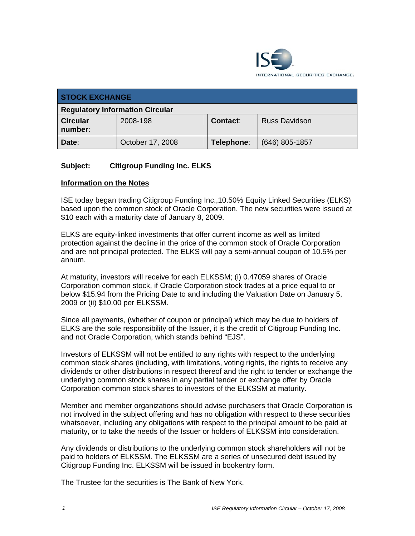

| <b>STOCK EXCHANGE</b>                  |                  |                 |                      |  |
|----------------------------------------|------------------|-----------------|----------------------|--|
| <b>Regulatory Information Circular</b> |                  |                 |                      |  |
| <b>Circular</b><br>number:             | 2008-198         | <b>Contact:</b> | <b>Russ Davidson</b> |  |
| Date:                                  | October 17, 2008 | Telephone:      | $(646)$ 805-1857     |  |

## **Subject: Citigroup Funding Inc. ELKS**

## **Information on the Notes**

ISE today began trading Citigroup Funding Inc.,10.50% Equity Linked Securities (ELKS) based upon the common stock of Oracle Corporation. The new securities were issued at \$10 each with a maturity date of January 8, 2009.

ELKS are equity-linked investments that offer current income as well as limited protection against the decline in the price of the common stock of Oracle Corporation and are not principal protected. The ELKS will pay a semi-annual coupon of 10.5% per annum.

At maturity, investors will receive for each ELKSSM; (i) 0.47059 shares of Oracle Corporation common stock, if Oracle Corporation stock trades at a price equal to or below \$15.94 from the Pricing Date to and including the Valuation Date on January 5, 2009 or (ii) \$10.00 per ELKSSM.

Since all payments, (whether of coupon or principal) which may be due to holders of ELKS are the sole responsibility of the Issuer, it is the credit of Citigroup Funding Inc. and not Oracle Corporation, which stands behind "EJS".

Investors of ELKSSM will not be entitled to any rights with respect to the underlying common stock shares (including, with limitations, voting rights, the rights to receive any dividends or other distributions in respect thereof and the right to tender or exchange the underlying common stock shares in any partial tender or exchange offer by Oracle Corporation common stock shares to investors of the ELKSSM at maturity.

Member and member organizations should advise purchasers that Oracle Corporation is not involved in the subject offering and has no obligation with respect to these securities whatsoever, including any obligations with respect to the principal amount to be paid at maturity, or to take the needs of the Issuer or holders of ELKSSM into consideration.

Any dividends or distributions to the underlying common stock shareholders will not be paid to holders of ELKSSM. The ELKSSM are a series of unsecured debt issued by Citigroup Funding Inc. ELKSSM will be issued in bookentry form.

The Trustee for the securities is The Bank of New York.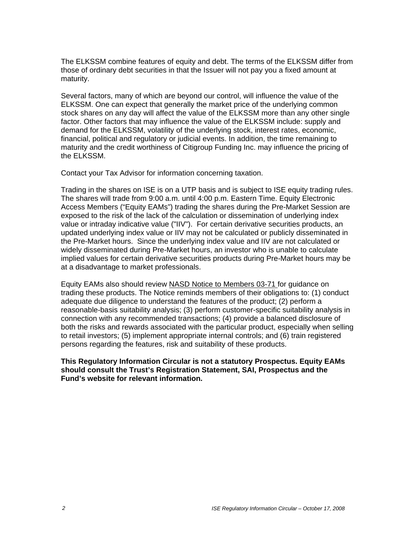The ELKSSM combine features of equity and debt. The terms of the ELKSSM differ from those of ordinary debt securities in that the Issuer will not pay you a fixed amount at maturity.

Several factors, many of which are beyond our control, will influence the value of the ELKSSM. One can expect that generally the market price of the underlying common stock shares on any day will affect the value of the ELKSSM more than any other single factor. Other factors that may influence the value of the ELKSSM include: supply and demand for the ELKSSM, volatility of the underlying stock, interest rates, economic, financial, political and regulatory or judicial events. In addition, the time remaining to maturity and the credit worthiness of Citigroup Funding Inc. may influence the pricing of the ELKSSM.

Contact your Tax Advisor for information concerning taxation.

Trading in the shares on ISE is on a UTP basis and is subject to ISE equity trading rules. The shares will trade from 9:00 a.m. until 4:00 p.m. Eastern Time. Equity Electronic Access Members ("Equity EAMs") trading the shares during the Pre-Market Session are exposed to the risk of the lack of the calculation or dissemination of underlying index value or intraday indicative value ("IIV"). For certain derivative securities products, an updated underlying index value or IIV may not be calculated or publicly disseminated in the Pre-Market hours. Since the underlying index value and IIV are not calculated or widely disseminated during Pre-Market hours, an investor who is unable to calculate implied values for certain derivative securities products during Pre-Market hours may be at a disadvantage to market professionals.

Equity EAMs also should review NASD Notice to Members 03-71 for guidance on trading these products. The Notice reminds members of their obligations to: (1) conduct adequate due diligence to understand the features of the product; (2) perform a reasonable-basis suitability analysis; (3) perform customer-specific suitability analysis in connection with any recommended transactions; (4) provide a balanced disclosure of both the risks and rewards associated with the particular product, especially when selling to retail investors; (5) implement appropriate internal controls; and (6) train registered persons regarding the features, risk and suitability of these products.

**This Regulatory Information Circular is not a statutory Prospectus. Equity EAMs should consult the Trust's Registration Statement, SAI, Prospectus and the Fund's website for relevant information.**